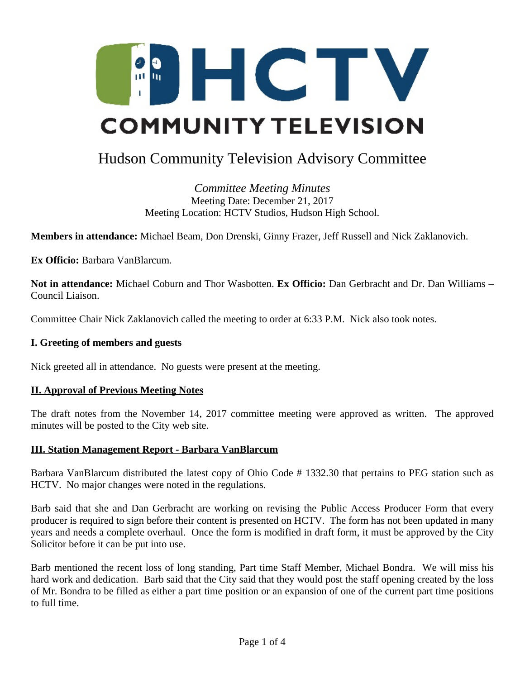

# Hudson Community Television Advisory Committee

*Committee Meeting Minutes* Meeting Date: December 21, 2017 Meeting Location: HCTV Studios, Hudson High School.

**Members in attendance:** Michael Beam, Don Drenski, Ginny Frazer, Jeff Russell and Nick Zaklanovich.

**Ex Officio:** Barbara VanBlarcum.

**Not in attendance:** Michael Coburn and Thor Wasbotten. **Ex Officio:** Dan Gerbracht and Dr. Dan Williams – Council Liaison.

Committee Chair Nick Zaklanovich called the meeting to order at 6:33 P.M. Nick also took notes.

#### **I. Greeting of members and guests**

Nick greeted all in attendance. No guests were present at the meeting.

#### **II. Approval of Previous Meeting Notes**

The draft notes from the November 14, 2017 committee meeting were approved as written. The approved minutes will be posted to the City web site.

#### **III. Station Management Report - Barbara VanBlarcum**

Barbara VanBlarcum distributed the latest copy of Ohio Code # 1332.30 that pertains to PEG station such as HCTV. No major changes were noted in the regulations.

Barb said that she and Dan Gerbracht are working on revising the Public Access Producer Form that every producer is required to sign before their content is presented on HCTV. The form has not been updated in many years and needs a complete overhaul. Once the form is modified in draft form, it must be approved by the City Solicitor before it can be put into use.

Barb mentioned the recent loss of long standing, Part time Staff Member, Michael Bondra. We will miss his hard work and dedication. Barb said that the City said that they would post the staff opening created by the loss of Mr. Bondra to be filled as either a part time position or an expansion of one of the current part time positions to full time.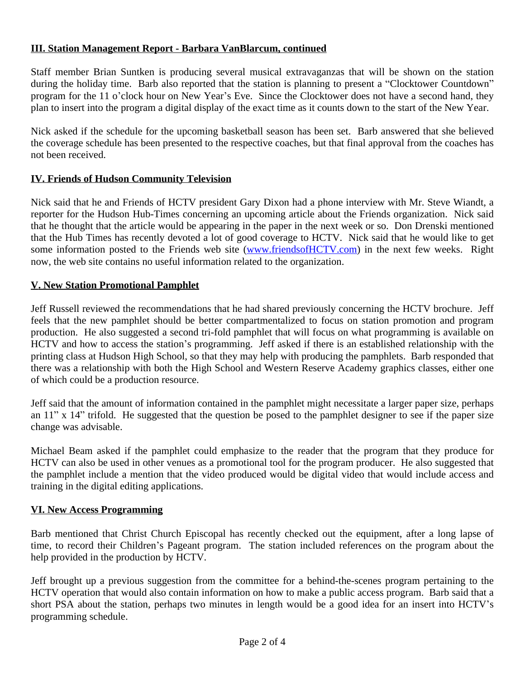# **III. Station Management Report - Barbara VanBlarcum, continued**

Staff member Brian Suntken is producing several musical extravaganzas that will be shown on the station during the holiday time. Barb also reported that the station is planning to present a "Clocktower Countdown" program for the 11 o'clock hour on New Year's Eve. Since the Clocktower does not have a second hand, they plan to insert into the program a digital display of the exact time as it counts down to the start of the New Year.

Nick asked if the schedule for the upcoming basketball season has been set. Barb answered that she believed the coverage schedule has been presented to the respective coaches, but that final approval from the coaches has not been received.

# **IV. Friends of Hudson Community Television**

Nick said that he and Friends of HCTV president Gary Dixon had a phone interview with Mr. Steve Wiandt, a reporter for the Hudson Hub-Times concerning an upcoming article about the Friends organization. Nick said that he thought that the article would be appearing in the paper in the next week or so. Don Drenski mentioned that the Hub Times has recently devoted a lot of good coverage to HCTV. Nick said that he would like to get some information posted to the Friends web site ([www.friendsofHCTV.com\)](http://www.friendsofHCTV.com) in the next few weeks. Right now, the web site contains no useful information related to the organization.

# **V. New Station Promotional Pamphlet**

Jeff Russell reviewed the recommendations that he had shared previously concerning the HCTV brochure. Jeff feels that the new pamphlet should be better compartmentalized to focus on station promotion and program production. He also suggested a second tri-fold pamphlet that will focus on what programming is available on HCTV and how to access the station's programming. Jeff asked if there is an established relationship with the printing class at Hudson High School, so that they may help with producing the pamphlets. Barb responded that there was a relationship with both the High School and Western Reserve Academy graphics classes, either one of which could be a production resource.

Jeff said that the amount of information contained in the pamphlet might necessitate a larger paper size, perhaps an 11" x 14" trifold. He suggested that the question be posed to the pamphlet designer to see if the paper size change was advisable.

Michael Beam asked if the pamphlet could emphasize to the reader that the program that they produce for HCTV can also be used in other venues as a promotional tool for the program producer. He also suggested that the pamphlet include a mention that the video produced would be digital video that would include access and training in the digital editing applications.

## **VI. New Access Programming**

Barb mentioned that Christ Church Episcopal has recently checked out the equipment, after a long lapse of time, to record their Children's Pageant program. The station included references on the program about the help provided in the production by HCTV.

Jeff brought up a previous suggestion from the committee for a behind-the-scenes program pertaining to the HCTV operation that would also contain information on how to make a public access program. Barb said that a short PSA about the station, perhaps two minutes in length would be a good idea for an insert into HCTV's programming schedule.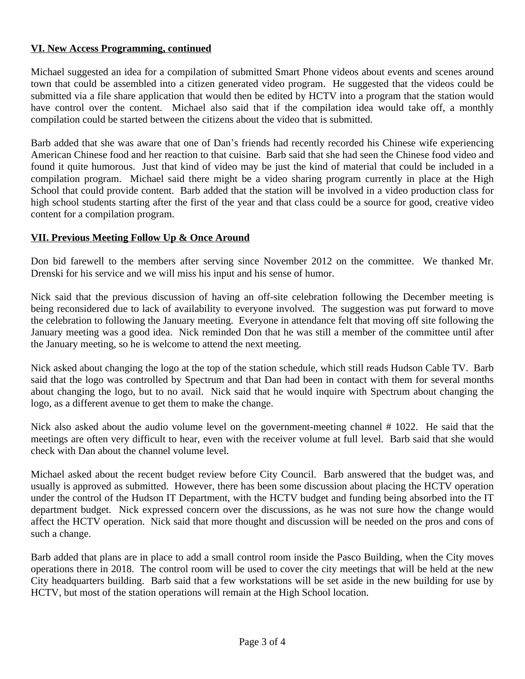# **VI. New Access Programming, continued**

Michael suggested an idea for a compilation of submitted Smart Phone videos about events and scenes around town that could be assembled into a citizen generated video program. He suggested that the videos could be submitted via a file share application that would then be edited by HCTV into a program that the station would have control over the content. Michael also said that if the compilation idea would take off, a monthly compilation could be started between the citizens about the video that is submitted.

Barb added that she was aware that one of Dan's friends had recently recorded his Chinese wife experiencing American Chinese food and her reaction to that cuisine. Barb said that she had seen the Chinese food video and found it quite humorous. Just that kind of video may be just the kind of material that could be included in a compilation program. Michael said there might be a video sharing program currently in place at the High School that could provide content. Barb added that the station will be involved in a video production class for high school students starting after the first of the year and that class could be a source for good, creative video content for a compilation program.

## **VII. Previous Meeting Follow Up & Once Around**

Don bid farewell to the members after serving since November 2012 on the committee. We thanked Mr. Drenski for his service and we will miss his input and his sense of humor.

Nick said that the previous discussion of having an off-site celebration following the December meeting is being reconsidered due to lack of availability to everyone involved. The suggestion was put forward to move the celebration to following the January meeting. Everyone in attendance felt that moving off site following the January meeting was a good idea. Nick reminded Don that he was still a member of the committee until after the January meeting, so he is welcome to attend the next meeting.

Nick asked about changing the logo at the top of the station schedule, which still reads Hudson Cable TV. Barb said that the logo was controlled by Spectrum and that Dan had been in contact with them for several months about changing the logo, but to no avail. Nick said that he would inquire with Spectrum about changing the logo, as a different avenue to get them to make the change.

Nick also asked about the audio volume level on the government-meeting channel # 1022. He said that the meetings are often very difficult to hear, even with the receiver volume at full level. Barb said that she would check with Dan about the channel volume level.

Michael asked about the recent budget review before City Council. Barb answered that the budget was, and usually is approved as submitted. However, there has been some discussion about placing the HCTV operation under the control of the Hudson IT Department, with the HCTV budget and funding being absorbed into the IT department budget. Nick expressed concern over the discussions, as he was not sure how the change would affect the HCTV operation. Nick said that more thought and discussion will be needed on the pros and cons of such a change.

Barb added that plans are in place to add a small control room inside the Pasco Building, when the City moves operations there in 2018. The control room will be used to cover the city meetings that will be held at the new City headquarters building. Barb said that a few workstations will be set aside in the new building for use by HCTV, but most of the station operations will remain at the High School location.